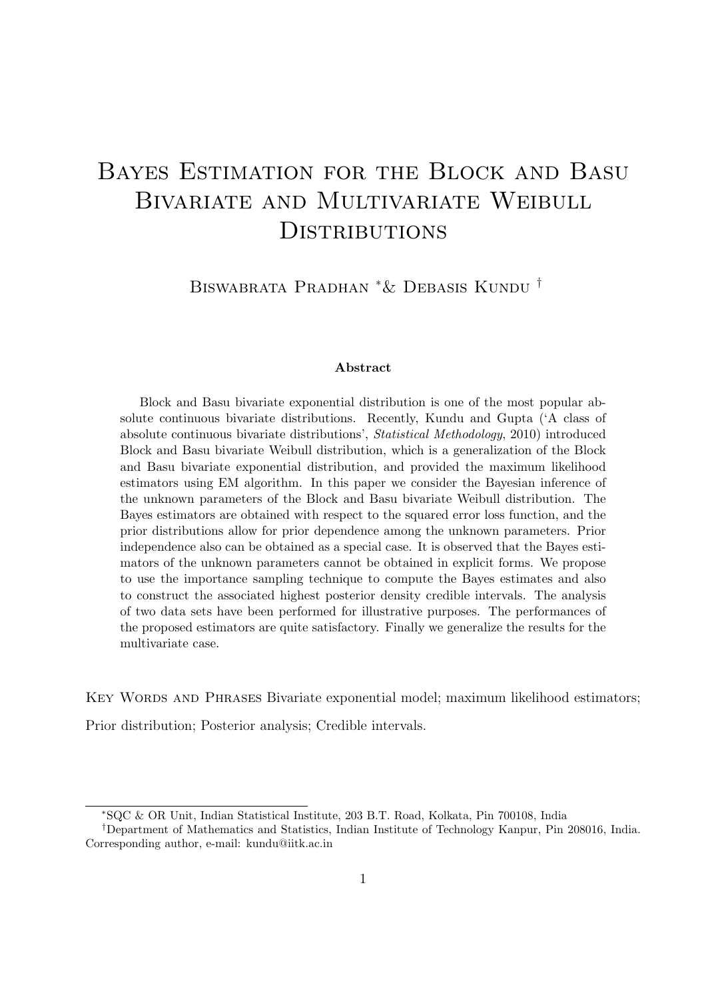# Bayes Estimation for the Block and Basu Bivariate and Multivariate Weibull **DISTRIBUTIONS**

Biswabrata Pradhan <sup>∗</sup>& Debasis Kundu †

#### Abstract

Block and Basu bivariate exponential distribution is one of the most popular absolute continuous bivariate distributions. Recently, Kundu and Gupta ('A class of absolute continuous bivariate distributions', Statistical Methodology, 2010) introduced Block and Basu bivariate Weibull distribution, which is a generalization of the Block and Basu bivariate exponential distribution, and provided the maximum likelihood estimators using EM algorithm. In this paper we consider the Bayesian inference of the unknown parameters of the Block and Basu bivariate Weibull distribution. The Bayes estimators are obtained with respect to the squared error loss function, and the prior distributions allow for prior dependence among the unknown parameters. Prior independence also can be obtained as a special case. It is observed that the Bayes estimators of the unknown parameters cannot be obtained in explicit forms. We propose to use the importance sampling technique to compute the Bayes estimates and also to construct the associated highest posterior density credible intervals. The analysis of two data sets have been performed for illustrative purposes. The performances of the proposed estimators are quite satisfactory. Finally we generalize the results for the multivariate case.

KEY WORDS AND PHRASES Bivariate exponential model; maximum likelihood estimators;

Prior distribution; Posterior analysis; Credible intervals.

<sup>∗</sup>SQC & OR Unit, Indian Statistical Institute, 203 B.T. Road, Kolkata, Pin 700108, India

<sup>†</sup>Department of Mathematics and Statistics, Indian Institute of Technology Kanpur, Pin 208016, India. Corresponding author, e-mail: kundu@iitk.ac.in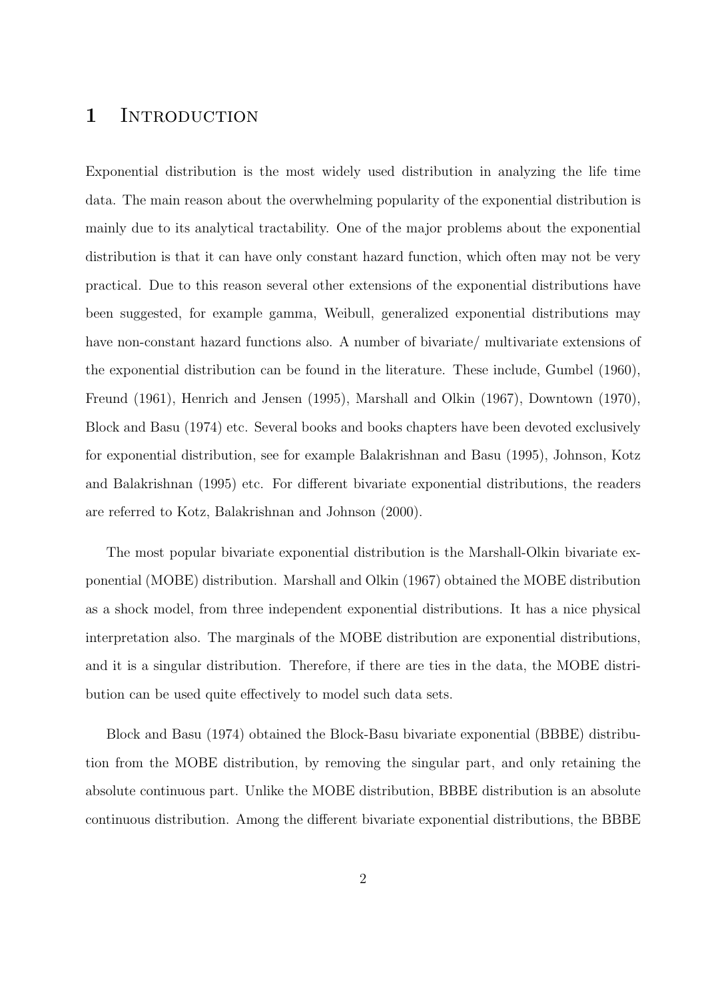### 1 INTRODUCTION

Exponential distribution is the most widely used distribution in analyzing the life time data. The main reason about the overwhelming popularity of the exponential distribution is mainly due to its analytical tractability. One of the major problems about the exponential distribution is that it can have only constant hazard function, which often may not be very practical. Due to this reason several other extensions of the exponential distributions have been suggested, for example gamma, Weibull, generalized exponential distributions may have non-constant hazard functions also. A number of bivariate/ multivariate extensions of the exponential distribution can be found in the literature. These include, Gumbel (1960), Freund (1961), Henrich and Jensen (1995), Marshall and Olkin (1967), Downtown (1970), Block and Basu (1974) etc. Several books and books chapters have been devoted exclusively for exponential distribution, see for example Balakrishnan and Basu (1995), Johnson, Kotz and Balakrishnan (1995) etc. For different bivariate exponential distributions, the readers are referred to Kotz, Balakrishnan and Johnson (2000).

The most popular bivariate exponential distribution is the Marshall-Olkin bivariate exponential (MOBE) distribution. Marshall and Olkin (1967) obtained the MOBE distribution as a shock model, from three independent exponential distributions. It has a nice physical interpretation also. The marginals of the MOBE distribution are exponential distributions, and it is a singular distribution. Therefore, if there are ties in the data, the MOBE distribution can be used quite effectively to model such data sets.

Block and Basu (1974) obtained the Block-Basu bivariate exponential (BBBE) distribution from the MOBE distribution, by removing the singular part, and only retaining the absolute continuous part. Unlike the MOBE distribution, BBBE distribution is an absolute continuous distribution. Among the different bivariate exponential distributions, the BBBE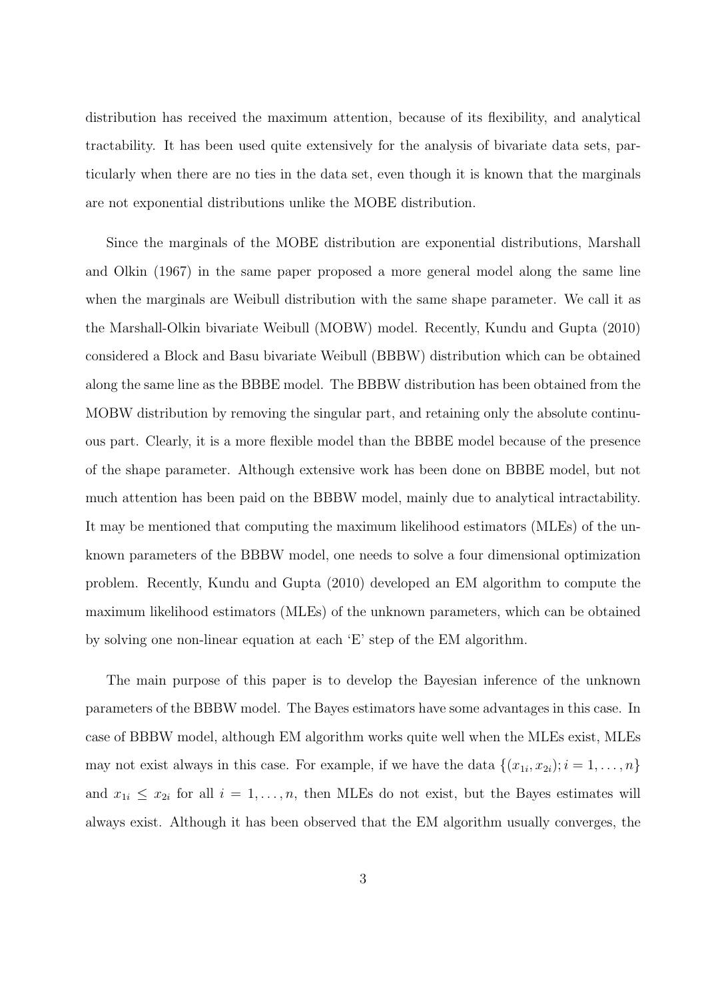distribution has received the maximum attention, because of its flexibility, and analytical tractability. It has been used quite extensively for the analysis of bivariate data sets, particularly when there are no ties in the data set, even though it is known that the marginals are not exponential distributions unlike the MOBE distribution.

Since the marginals of the MOBE distribution are exponential distributions, Marshall and Olkin (1967) in the same paper proposed a more general model along the same line when the marginals are Weibull distribution with the same shape parameter. We call it as the Marshall-Olkin bivariate Weibull (MOBW) model. Recently, Kundu and Gupta (2010) considered a Block and Basu bivariate Weibull (BBBW) distribution which can be obtained along the same line as the BBBE model. The BBBW distribution has been obtained from the MOBW distribution by removing the singular part, and retaining only the absolute continuous part. Clearly, it is a more flexible model than the BBBE model because of the presence of the shape parameter. Although extensive work has been done on BBBE model, but not much attention has been paid on the BBBW model, mainly due to analytical intractability. It may be mentioned that computing the maximum likelihood estimators (MLEs) of the unknown parameters of the BBBW model, one needs to solve a four dimensional optimization problem. Recently, Kundu and Gupta (2010) developed an EM algorithm to compute the maximum likelihood estimators (MLEs) of the unknown parameters, which can be obtained by solving one non-linear equation at each 'E' step of the EM algorithm.

The main purpose of this paper is to develop the Bayesian inference of the unknown parameters of the BBBW model. The Bayes estimators have some advantages in this case. In case of BBBW model, although EM algorithm works quite well when the MLEs exist, MLEs may not exist always in this case. For example, if we have the data  $\{(x_{1i}, x_{2i}); i = 1, \ldots, n\}$ and  $x_{1i} \leq x_{2i}$  for all  $i = 1, \ldots, n$ , then MLEs do not exist, but the Bayes estimates will always exist. Although it has been observed that the EM algorithm usually converges, the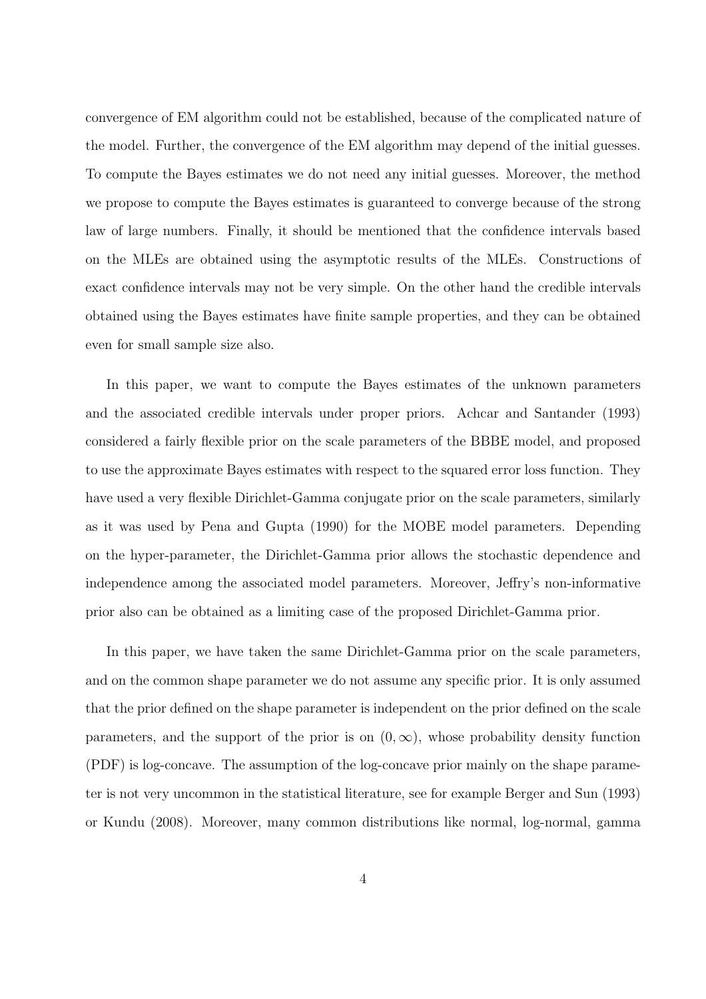convergence of EM algorithm could not be established, because of the complicated nature of the model. Further, the convergence of the EM algorithm may depend of the initial guesses. To compute the Bayes estimates we do not need any initial guesses. Moreover, the method we propose to compute the Bayes estimates is guaranteed to converge because of the strong law of large numbers. Finally, it should be mentioned that the confidence intervals based on the MLEs are obtained using the asymptotic results of the MLEs. Constructions of exact confidence intervals may not be very simple. On the other hand the credible intervals obtained using the Bayes estimates have finite sample properties, and they can be obtained even for small sample size also.

In this paper, we want to compute the Bayes estimates of the unknown parameters and the associated credible intervals under proper priors. Achcar and Santander (1993) considered a fairly flexible prior on the scale parameters of the BBBE model, and proposed to use the approximate Bayes estimates with respect to the squared error loss function. They have used a very flexible Dirichlet-Gamma conjugate prior on the scale parameters, similarly as it was used by Pena and Gupta (1990) for the MOBE model parameters. Depending on the hyper-parameter, the Dirichlet-Gamma prior allows the stochastic dependence and independence among the associated model parameters. Moreover, Jeffry's non-informative prior also can be obtained as a limiting case of the proposed Dirichlet-Gamma prior.

In this paper, we have taken the same Dirichlet-Gamma prior on the scale parameters, and on the common shape parameter we do not assume any specific prior. It is only assumed that the prior defined on the shape parameter is independent on the prior defined on the scale parameters, and the support of the prior is on  $(0, \infty)$ , whose probability density function (PDF) is log-concave. The assumption of the log-concave prior mainly on the shape parameter is not very uncommon in the statistical literature, see for example Berger and Sun (1993) or Kundu (2008). Moreover, many common distributions like normal, log-normal, gamma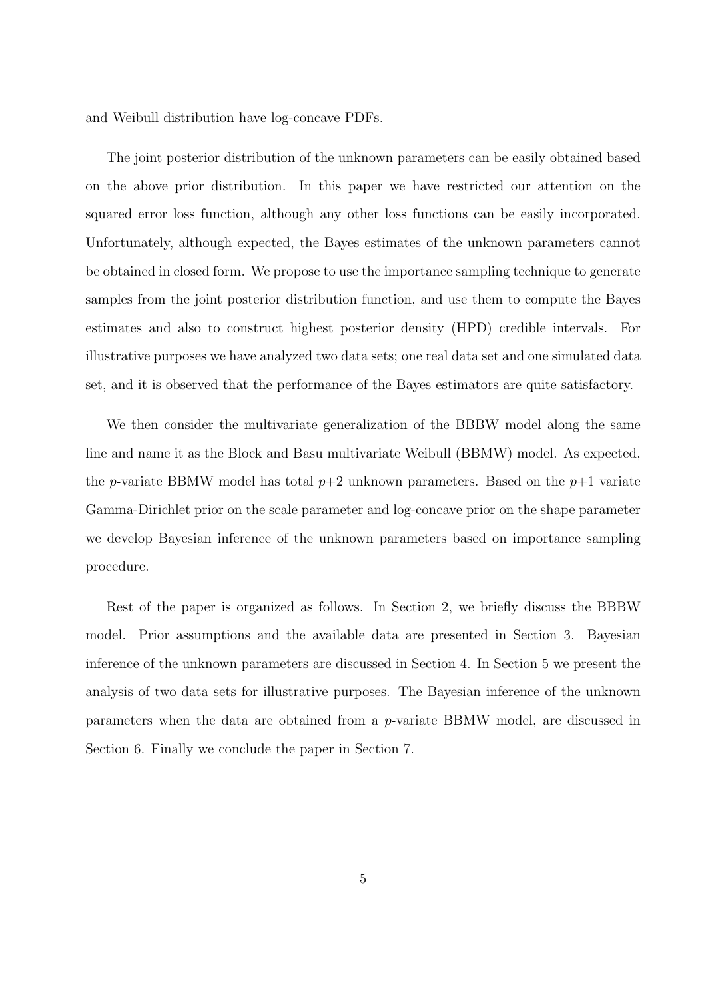and Weibull distribution have log-concave PDFs.

The joint posterior distribution of the unknown parameters can be easily obtained based on the above prior distribution. In this paper we have restricted our attention on the squared error loss function, although any other loss functions can be easily incorporated. Unfortunately, although expected, the Bayes estimates of the unknown parameters cannot be obtained in closed form. We propose to use the importance sampling technique to generate samples from the joint posterior distribution function, and use them to compute the Bayes estimates and also to construct highest posterior density (HPD) credible intervals. For illustrative purposes we have analyzed two data sets; one real data set and one simulated data set, and it is observed that the performance of the Bayes estimators are quite satisfactory.

We then consider the multivariate generalization of the BBBW model along the same line and name it as the Block and Basu multivariate Weibull (BBMW) model. As expected, the p-variate BBMW model has total  $p+2$  unknown parameters. Based on the  $p+1$  variate Gamma-Dirichlet prior on the scale parameter and log-concave prior on the shape parameter we develop Bayesian inference of the unknown parameters based on importance sampling procedure.

Rest of the paper is organized as follows. In Section 2, we briefly discuss the BBBW model. Prior assumptions and the available data are presented in Section 3. Bayesian inference of the unknown parameters are discussed in Section 4. In Section 5 we present the analysis of two data sets for illustrative purposes. The Bayesian inference of the unknown parameters when the data are obtained from a p-variate BBMW model, are discussed in Section 6. Finally we conclude the paper in Section 7.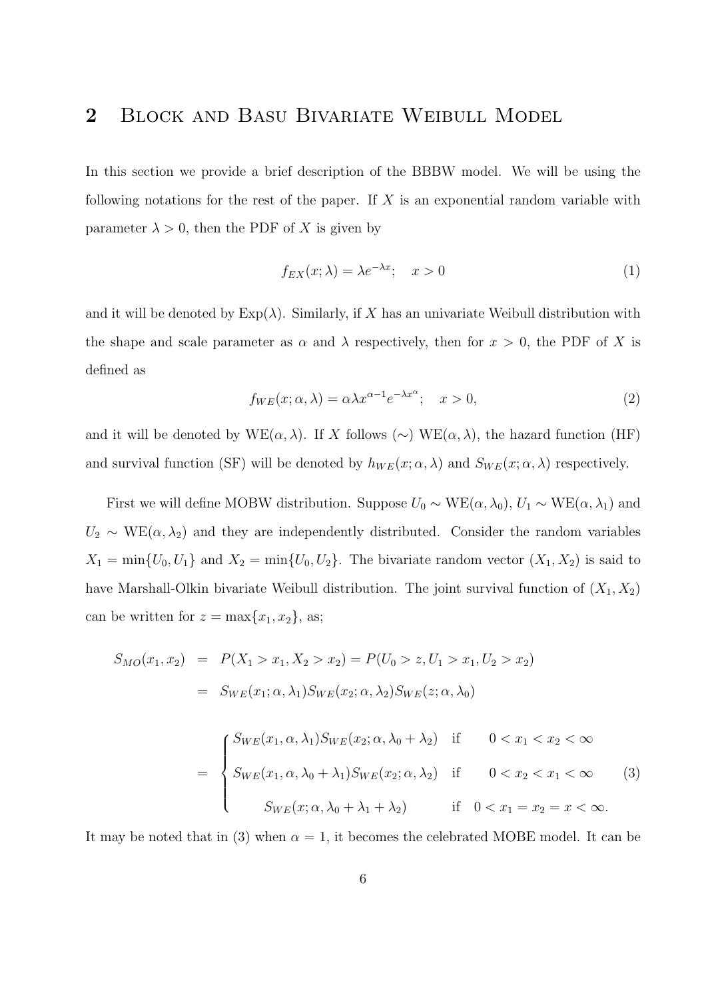# 2 Block and Basu Bivariate Weibull Model

In this section we provide a brief description of the BBBW model. We will be using the following notations for the rest of the paper. If  $X$  is an exponential random variable with parameter  $\lambda > 0$ , then the PDF of X is given by

$$
f_{EX}(x; \lambda) = \lambda e^{-\lambda x}; \quad x > 0 \tag{1}
$$

and it will be denoted by  $Exp(\lambda)$ . Similarly, if X has an univariate Weibull distribution with the shape and scale parameter as  $\alpha$  and  $\lambda$  respectively, then for  $x > 0$ , the PDF of X is defined as

$$
f_{WE}(x; \alpha, \lambda) = \alpha \lambda x^{\alpha - 1} e^{-\lambda x^{\alpha}}; \quad x > 0,
$$
\n(2)

and it will be denoted by WE( $\alpha, \lambda$ ). If X follows (∼) WE( $\alpha, \lambda$ ), the hazard function (HF) and survival function (SF) will be denoted by  $h_{WE}(x; \alpha, \lambda)$  and  $S_{WE}(x; \alpha, \lambda)$  respectively.

First we will define MOBW distribution. Suppose  $U_0 \sim \text{WE}(\alpha, \lambda_0)$ ,  $U_1 \sim \text{WE}(\alpha, \lambda_1)$  and  $U_2 \sim \text{WE}(\alpha, \lambda_2)$  and they are independently distributed. Consider the random variables  $X_1 = \min\{U_0, U_1\}$  and  $X_2 = \min\{U_0, U_2\}$ . The bivariate random vector  $(X_1, X_2)$  is said to have Marshall-Olkin bivariate Weibull distribution. The joint survival function of  $(X_1, X_2)$ can be written for  $z = \max\{x_1, x_2\}$ , as;

$$
S_{MO}(x_1, x_2) = P(X_1 > x_1, X_2 > x_2) = P(U_0 > z, U_1 > x_1, U_2 > x_2)
$$
  
= 
$$
S_{WE}(x_1; \alpha, \lambda_1) S_{WE}(x_2; \alpha, \lambda_2) S_{WE}(z; \alpha, \lambda_0)
$$

$$
= \begin{cases} S_{WE}(x_1, \alpha, \lambda_1) S_{WE}(x_2; \alpha, \lambda_0 + \lambda_2) & \text{if } 0 < x_1 < x_2 < \infty \\ S_{WE}(x_1, \alpha, \lambda_0 + \lambda_1) S_{WE}(x_2; \alpha, \lambda_2) & \text{if } 0 < x_2 < x_1 < \infty \\ S_{WE}(x; \alpha, \lambda_0 + \lambda_1 + \lambda_2) & \text{if } 0 < x_1 = x_2 = x < \infty. \end{cases} \tag{3}
$$

It may be noted that in (3) when  $\alpha = 1$ , it becomes the celebrated MOBE model. It can be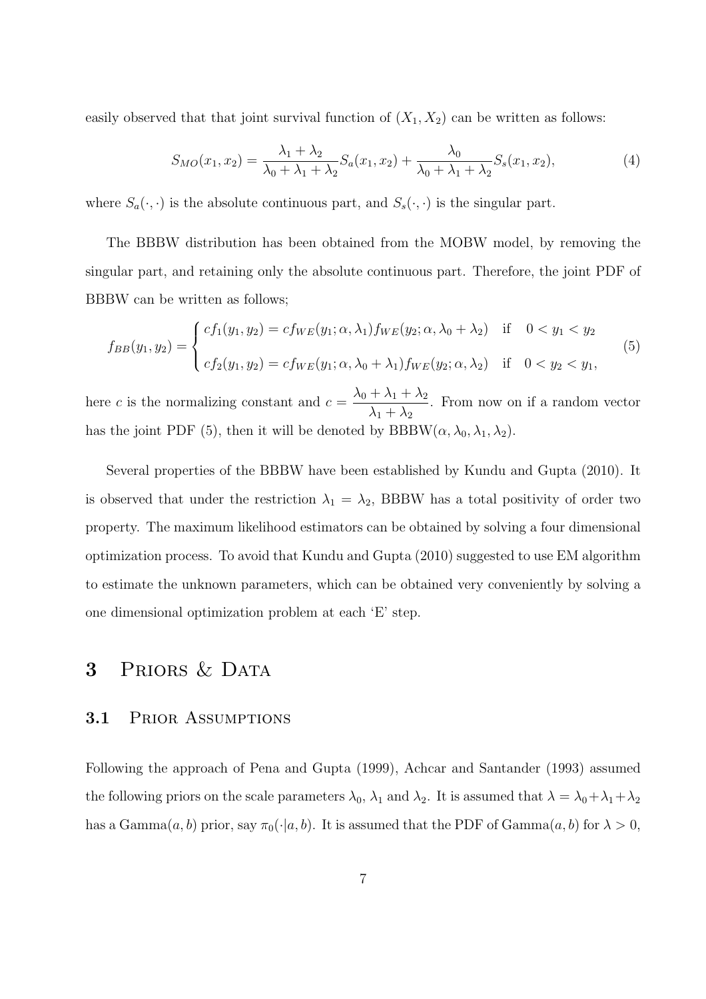easily observed that that joint survival function of  $(X_1, X_2)$  can be written as follows:

$$
S_{MO}(x_1, x_2) = \frac{\lambda_1 + \lambda_2}{\lambda_0 + \lambda_1 + \lambda_2} S_a(x_1, x_2) + \frac{\lambda_0}{\lambda_0 + \lambda_1 + \lambda_2} S_s(x_1, x_2),
$$
\n(4)

where  $S_a(\cdot, \cdot)$  is the absolute continuous part, and  $S_s(\cdot, \cdot)$  is the singular part.

The BBBW distribution has been obtained from the MOBW model, by removing the singular part, and retaining only the absolute continuous part. Therefore, the joint PDF of BBBW can be written as follows;

$$
f_{BB}(y_1, y_2) = \begin{cases} cf_1(y_1, y_2) = cf_{WE}(y_1; \alpha, \lambda_1) f_{WE}(y_2; \alpha, \lambda_0 + \lambda_2) & \text{if } 0 < y_1 < y_2 \\ cf_2(y_1, y_2) = cf_{WE}(y_1; \alpha, \lambda_0 + \lambda_1) f_{WE}(y_2; \alpha, \lambda_2) & \text{if } 0 < y_2 < y_1, \end{cases}
$$
(5)

here c is the normalizing constant and  $c = \frac{\lambda_0 + \lambda_1 + \lambda_2}{\lambda_0 + \lambda_1}$  $\lambda_1 + \lambda_2$ . From now on if a random vector has the joint PDF (5), then it will be denoted by  $BBBW(\alpha, \lambda_0, \lambda_1, \lambda_2)$ .

Several properties of the BBBW have been established by Kundu and Gupta (2010). It is observed that under the restriction  $\lambda_1 = \lambda_2$ , BBBW has a total positivity of order two property. The maximum likelihood estimators can be obtained by solving a four dimensional optimization process. To avoid that Kundu and Gupta (2010) suggested to use EM algorithm to estimate the unknown parameters, which can be obtained very conveniently by solving a one dimensional optimization problem at each 'E' step.

# 3 PRIORS & DATA

### 3.1 Prior Assumptions

Following the approach of Pena and Gupta (1999), Achcar and Santander (1993) assumed the following priors on the scale parameters  $\lambda_0$ ,  $\lambda_1$  and  $\lambda_2$ . It is assumed that  $\lambda = \lambda_0 + \lambda_1 + \lambda_2$ has a Gamma $(a, b)$  prior, say  $\pi_0(\cdot|a, b)$ . It is assumed that the PDF of Gamma $(a, b)$  for  $\lambda > 0$ ,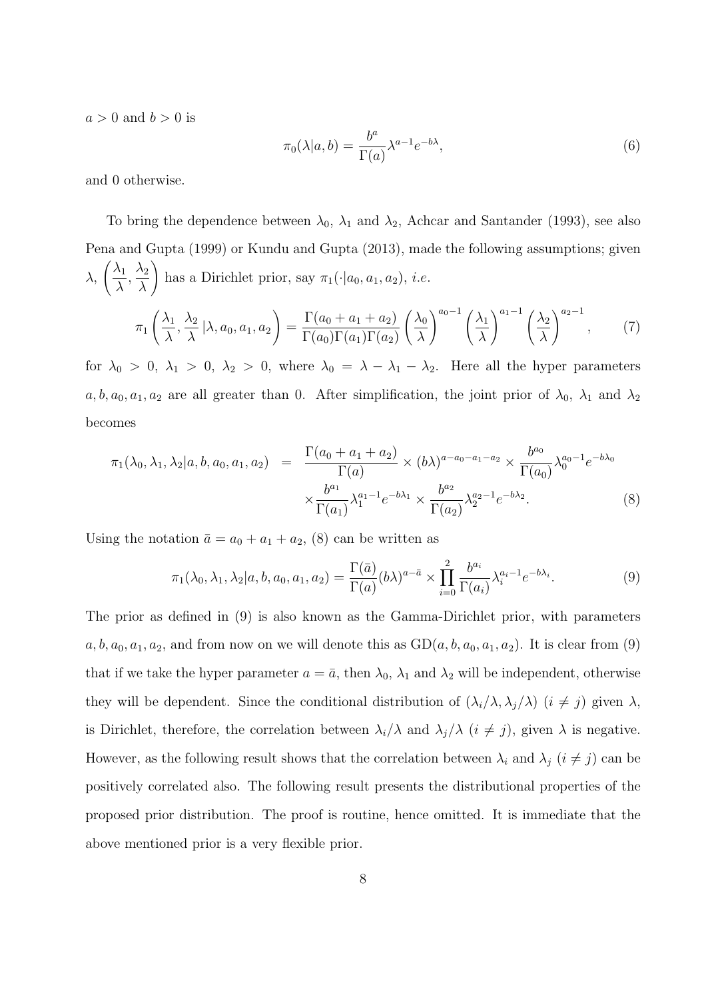$a > 0$  and  $b > 0$  is

$$
\pi_0(\lambda|a,b) = \frac{b^a}{\Gamma(a)} \lambda^{a-1} e^{-b\lambda},\tag{6}
$$

and 0 otherwise.

To bring the dependence between  $\lambda_0$ ,  $\lambda_1$  and  $\lambda_2$ , Achcar and Santander (1993), see also Pena and Gupta (1999) or Kundu and Gupta (2013), made the following assumptions; given λ,  $\bigwedge$ λ  $\frac{\lambda_2}{\lambda_1}$ λ  $\setminus$ has a Dirichlet prior, say  $\pi_1(\cdot|a_0, a_1, a_2)$ , *i.e.*  $\pi_1$  $\bigwedge$  $\lambda$  $\frac{\lambda_2}{\lambda_1}$  $\frac{a}{\lambda}$  | $\lambda$ ,  $a_0$ ,  $a_1$ ,  $a_2$ !  $= \frac{\Gamma(a_0 + a_1 + a_2)}{\Gamma(\square) \Gamma(\square) \Gamma(\square)}$  $\Gamma(a_0)\Gamma(a_1)\Gamma(a_2)$  $\bigwedge$  $\lambda$  $\bigwedge^{a_0-1}$   $\bigwedge^{}_{1}$  $\lambda$  $\bigwedge^{a_1-1}$   $\bigwedge^{}_{2}$  $\lambda$  $\setminus$ <sup> $a_2-1$ </sup> , (7)

for  $\lambda_0 > 0$ ,  $\lambda_1 > 0$ ,  $\lambda_2 > 0$ , where  $\lambda_0 = \lambda - \lambda_1 - \lambda_2$ . Here all the hyper parameters  $a, b, a_0, a_1, a_2$  are all greater than 0. After simplification, the joint prior of  $\lambda_0$ ,  $\lambda_1$  and  $\lambda_2$ becomes

$$
\pi_1(\lambda_0, \lambda_1, \lambda_2 | a, b, a_0, a_1, a_2) = \frac{\Gamma(a_0 + a_1 + a_2)}{\Gamma(a)} \times (b\lambda)^{a - a_0 - a_1 - a_2} \times \frac{b^{a_0}}{\Gamma(a_0)} \lambda_0^{a_0 - 1} e^{-b\lambda_0}
$$

$$
\times \frac{b^{a_1}}{\Gamma(a_1)} \lambda_1^{a_1 - 1} e^{-b\lambda_1} \times \frac{b^{a_2}}{\Gamma(a_2)} \lambda_2^{a_2 - 1} e^{-b\lambda_2}.
$$
 (8)

Using the notation  $\bar{a} = a_0 + a_1 + a_2$ , (8) can be written as

$$
\pi_1(\lambda_0, \lambda_1, \lambda_2 | a, b, a_0, a_1, a_2) = \frac{\Gamma(\bar{a})}{\Gamma(a)} (b\lambda)^{a - \bar{a}} \times \prod_{i=0}^2 \frac{b^{a_i}}{\Gamma(a_i)} \lambda_i^{a_i - 1} e^{-b\lambda_i}.
$$
 (9)

The prior as defined in (9) is also known as the Gamma-Dirichlet prior, with parameters  $a, b, a_0, a_1, a_2$ , and from now on we will denote this as  $GD(a, b, a_0, a_1, a_2)$ . It is clear from (9) that if we take the hyper parameter  $a = \bar{a}$ , then  $\lambda_0$ ,  $\lambda_1$  and  $\lambda_2$  will be independent, otherwise they will be dependent. Since the conditional distribution of  $(\lambda_i/\lambda, \lambda_j/\lambda)$   $(i \neq j)$  given  $\lambda$ , is Dirichlet, therefore, the correlation between  $\lambda_i/\lambda$  and  $\lambda_j/\lambda$   $(i \neq j)$ , given  $\lambda$  is negative. However, as the following result shows that the correlation between  $\lambda_i$  and  $\lambda_j$   $(i \neq j)$  can be positively correlated also. The following result presents the distributional properties of the proposed prior distribution. The proof is routine, hence omitted. It is immediate that the above mentioned prior is a very flexible prior.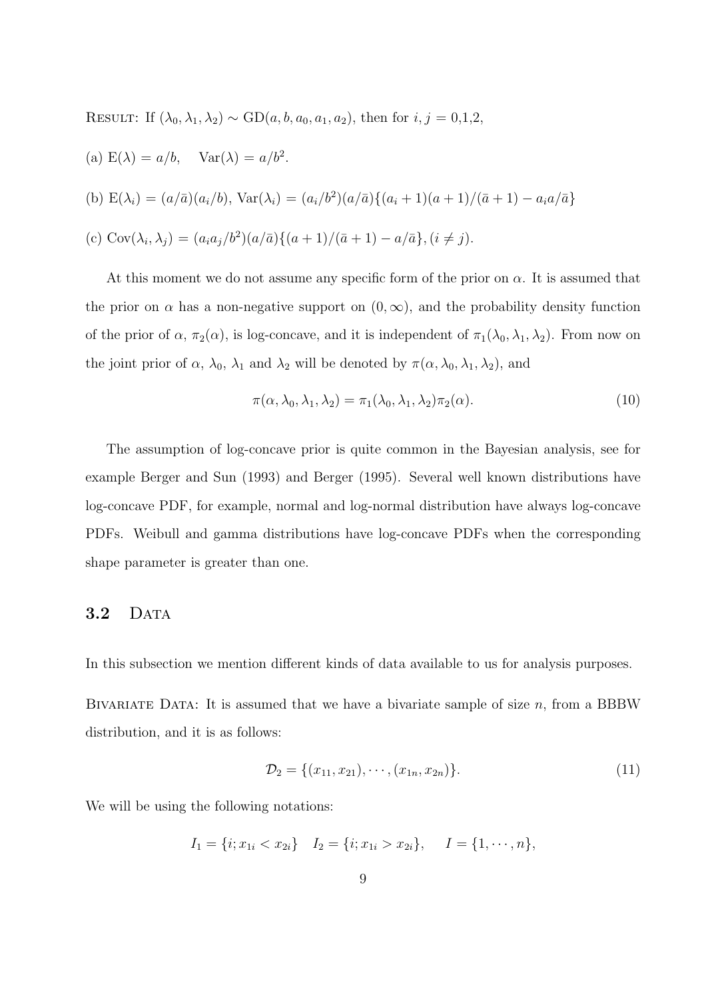RESULT: If 
$$
(\lambda_0, \lambda_1, \lambda_2) \sim \text{GD}(a, b, a_0, a_1, a_2)
$$
, then for  $i, j = 0, 1, 2$ ,

\n(a) E(λ) =  $a/b$ ,  $\text{Var}(\lambda) = a/b^2$ .

\n(b) E(λ<sub>i</sub>) =  $(a/\bar{a})(a_i/b)$ ,  $\text{Var}(\lambda_i) = (a_i/b^2)(a/\bar{a})\{(a_i + 1)(a + 1)/(\bar{a} + 1) - a_i a/\bar{a}\}$ 

\n(c) Cov(λ<sub>i</sub>, λ<sub>j</sub>) =  $(a_i a_j/b^2)(a/\bar{a})\{(a + 1)/(\bar{a} + 1) - a/\bar{a}\}, (i \neq j)$ .

At this moment we do not assume any specific form of the prior on  $\alpha$ . It is assumed that the prior on  $\alpha$  has a non-negative support on  $(0, \infty)$ , and the probability density function of the prior of  $\alpha$ ,  $\pi_2(\alpha)$ , is log-concave, and it is independent of  $\pi_1(\lambda_0, \lambda_1, \lambda_2)$ . From now on the joint prior of  $\alpha$ ,  $\lambda_0$ ,  $\lambda_1$  and  $\lambda_2$  will be denoted by  $\pi(\alpha, \lambda_0, \lambda_1, \lambda_2)$ , and

$$
\pi(\alpha, \lambda_0, \lambda_1, \lambda_2) = \pi_1(\lambda_0, \lambda_1, \lambda_2) \pi_2(\alpha). \tag{10}
$$

The assumption of log-concave prior is quite common in the Bayesian analysis, see for example Berger and Sun (1993) and Berger (1995). Several well known distributions have log-concave PDF, for example, normal and log-normal distribution have always log-concave PDFs. Weibull and gamma distributions have log-concave PDFs when the corresponding shape parameter is greater than one.

#### 3.2 DATA

In this subsection we mention different kinds of data available to us for analysis purposes.

BIVARIATE DATA: It is assumed that we have a bivariate sample of size  $n$ , from a BBBW distribution, and it is as follows:

$$
\mathcal{D}_2 = \{(x_{11}, x_{21}), \cdots, (x_{1n}, x_{2n})\}.
$$
\n(11)

We will be using the following notations:

$$
I_1 = \{i; x_{1i} < x_{2i}\} \quad I_2 = \{i; x_{1i} > x_{2i}\}, \quad I = \{1, \cdots, n\},
$$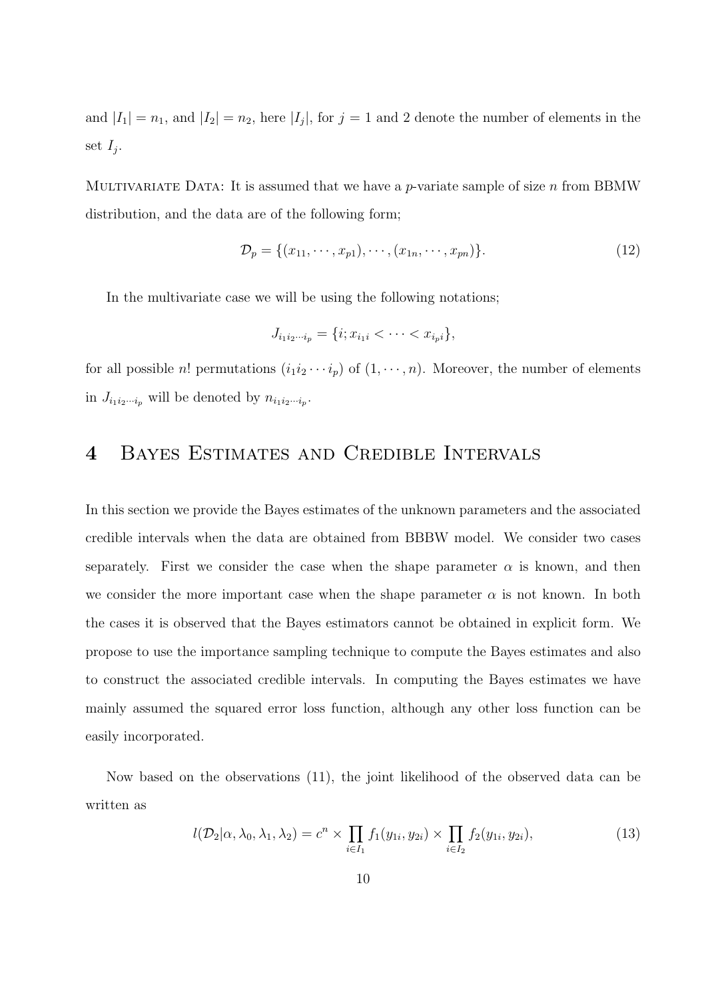and  $|I_1| = n_1$ , and  $|I_2| = n_2$ , here  $|I_j|$ , for  $j = 1$  and 2 denote the number of elements in the set  $I_j$ .

MULTIVARIATE DATA: It is assumed that we have a p-variate sample of size n from BBMW distribution, and the data are of the following form;

$$
\mathcal{D}_p = \{(x_{11}, \cdots, x_{p1}), \cdots, (x_{1n}, \cdots, x_{pn})\}.
$$
\n(12)

In the multivariate case we will be using the following notations;

$$
J_{i_1i_2\cdots i_p} = \{i; x_{i_1i} < \cdots < x_{i_pi}\},
$$

for all possible *n*! permutations  $(i_1i_2 \cdots i_p)$  of  $(1, \cdots, n)$ . Moreover, the number of elements in  $J_{i_1 i_2 \cdots i_p}$  will be denoted by  $n_{i_1 i_2 \cdots i_p}$ .

# 4 Bayes Estimates and Credible Intervals

In this section we provide the Bayes estimates of the unknown parameters and the associated credible intervals when the data are obtained from BBBW model. We consider two cases separately. First we consider the case when the shape parameter  $\alpha$  is known, and then we consider the more important case when the shape parameter  $\alpha$  is not known. In both the cases it is observed that the Bayes estimators cannot be obtained in explicit form. We propose to use the importance sampling technique to compute the Bayes estimates and also to construct the associated credible intervals. In computing the Bayes estimates we have mainly assumed the squared error loss function, although any other loss function can be easily incorporated.

Now based on the observations (11), the joint likelihood of the observed data can be written as

$$
l(\mathcal{D}_2|\alpha,\lambda_0,\lambda_1,\lambda_2) = c^n \times \prod_{i \in I_1} f_1(y_{1i},y_{2i}) \times \prod_{i \in I_2} f_2(y_{1i},y_{2i}),
$$
\n(13)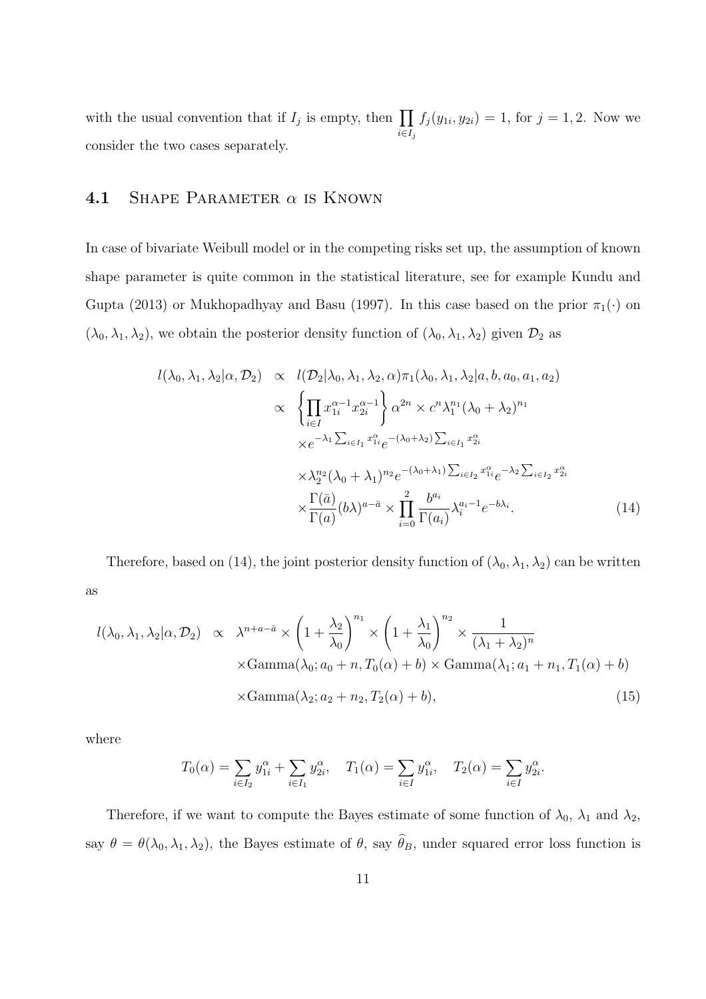with the usual convention that if  $I_j$  is empty, then  $\prod$  $i \in I_j$  $f_j(y_{1i}, y_{2i}) = 1$ , for  $j = 1, 2$ . Now we consider the two cases separately.

### **4.1** SHAPE PARAMETER  $\alpha$  is KNOWN

In case of bivariate Weibull model or in the competing risks set up, the assumption of known shape parameter is quite common in the statistical literature, see for example Kundu and Gupta (2013) or Mukhopadhyay and Basu (1997). In this case based on the prior  $\pi_1(\cdot)$  on  $(\lambda_0, \lambda_1, \lambda_2)$ , we obtain the posterior density function of  $(\lambda_0, \lambda_1, \lambda_2)$  given  $\mathcal{D}_2$  as

$$
l(\lambda_0, \lambda_1, \lambda_2 | \alpha, \mathcal{D}_2) \propto l(\mathcal{D}_2 | \lambda_0, \lambda_1, \lambda_2, \alpha) \pi_1(\lambda_0, \lambda_1, \lambda_2 | a, b, a_0, a_1, a_2)
$$
  

$$
\propto \left\{ \prod_{i \in I} x_{1i}^{\alpha - 1} x_{2i}^{\alpha - 1} \right\} \alpha^{2n} \times c^n \lambda_1^{n_1} (\lambda_0 + \lambda_2)^{n_1}
$$
  

$$
\times e^{-\lambda_1 \sum_{i \in I_1} x_{1i}^{\alpha}} e^{-(\lambda_0 + \lambda_2) \sum_{i \in I_1} x_{2i}^{\alpha}}
$$
  

$$
\times \lambda_2^{n_2} (\lambda_0 + \lambda_1)^{n_2} e^{-(\lambda_0 + \lambda_1) \sum_{i \in I_2} x_{1i}^{\alpha}} e^{-\lambda_2 \sum_{i \in I_2} x_{2i}^{\alpha}}
$$
  

$$
\times \frac{\Gamma(\bar{a})}{\Gamma(a)} (b\lambda)^{a - \bar{a}} \times \prod_{i = 0}^{2} \frac{b^{a_i}}{\Gamma(a_i)} \lambda_i^{a_i - 1} e^{-b\lambda_i}.
$$
 (14)

Therefore, based on (14), the joint posterior density function of  $(\lambda_0, \lambda_1, \lambda_2)$  can be written as

$$
l(\lambda_0, \lambda_1, \lambda_2 | \alpha, \mathcal{D}_2) \propto \lambda^{n+a-\bar{a}} \times \left(1 + \frac{\lambda_2}{\lambda_0}\right)^{n_1} \times \left(1 + \frac{\lambda_1}{\lambda_0}\right)^{n_2} \times \frac{1}{(\lambda_1 + \lambda_2)^n}
$$
  
 
$$
\times \text{Gamma}(\lambda_0; a_0 + n, T_0(\alpha) + b) \times \text{Gamma}(\lambda_1; a_1 + n_1, T_1(\alpha) + b)
$$
  
 
$$
\times \text{Gamma}(\lambda_2; a_2 + n_2, T_2(\alpha) + b), \tag{15}
$$

where

$$
T_0(\alpha) = \sum_{i \in I_2} y_{1i}^{\alpha} + \sum_{i \in I_1} y_{2i}^{\alpha}, \quad T_1(\alpha) = \sum_{i \in I} y_{1i}^{\alpha}, \quad T_2(\alpha) = \sum_{i \in I} y_{2i}^{\alpha}.
$$

Therefore, if we want to compute the Bayes estimate of some function of  $\lambda_0$ ,  $\lambda_1$  and  $\lambda_2$ , say  $\theta = \theta(\lambda_0, \lambda_1, \lambda_2)$ , the Bayes estimate of  $\theta$ , say  $\hat{\theta}_B$ , under squared error loss function is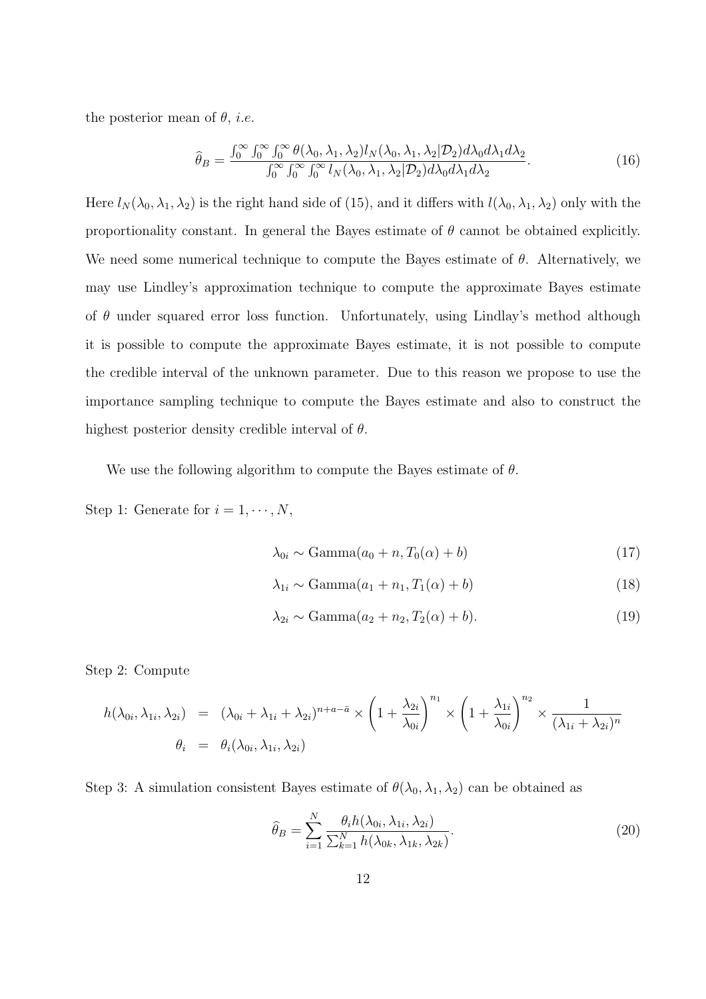the posterior mean of  $\theta$ , *i.e.* 

$$
\widehat{\theta}_B = \frac{\int_0^\infty \int_0^\infty \int_0^\infty \theta(\lambda_0, \lambda_1, \lambda_2) l_N(\lambda_0, \lambda_1, \lambda_2 | \mathcal{D}_2) d\lambda_0 d\lambda_1 d\lambda_2}{\int_0^\infty \int_0^\infty \int_0^\infty l_N(\lambda_0, \lambda_1, \lambda_2 | \mathcal{D}_2) d\lambda_0 d\lambda_1 d\lambda_2}.
$$
\n(16)

Here  $l_N(\lambda_0, \lambda_1, \lambda_2)$  is the right hand side of (15), and it differs with  $l(\lambda_0, \lambda_1, \lambda_2)$  only with the proportionality constant. In general the Bayes estimate of  $\theta$  cannot be obtained explicitly. We need some numerical technique to compute the Bayes estimate of  $\theta$ . Alternatively, we may use Lindley's approximation technique to compute the approximate Bayes estimate of  $\theta$  under squared error loss function. Unfortunately, using Lindlay's method although it is possible to compute the approximate Bayes estimate, it is not possible to compute the credible interval of the unknown parameter. Due to this reason we propose to use the importance sampling technique to compute the Bayes estimate and also to construct the highest posterior density credible interval of  $\theta$ .

We use the following algorithm to compute the Bayes estimate of  $\theta$ .

Step 1: Generate for  $i = 1, \dots, N$ ,

$$
\lambda_{0i} \sim \text{Gamma}(a_0 + n, T_0(\alpha) + b) \tag{17}
$$

$$
\lambda_{1i} \sim \text{Gamma}(a_1 + n_1, T_1(\alpha) + b) \tag{18}
$$

$$
\lambda_{2i} \sim \text{Gamma}(a_2 + n_2, T_2(\alpha) + b). \tag{19}
$$

Step 2: Compute

$$
h(\lambda_{0i}, \lambda_{1i}, \lambda_{2i}) = (\lambda_{0i} + \lambda_{1i} + \lambda_{2i})^{n+a-\bar{a}} \times \left(1 + \frac{\lambda_{2i}}{\lambda_{0i}}\right)^{n_1} \times \left(1 + \frac{\lambda_{1i}}{\lambda_{0i}}\right)^{n_2} \times \frac{1}{(\lambda_{1i} + \lambda_{2i})^n}
$$
  

$$
\theta_i = \theta_i(\lambda_{0i}, \lambda_{1i}, \lambda_{2i})
$$

Step 3: A simulation consistent Bayes estimate of  $\theta(\lambda_0, \lambda_1, \lambda_2)$  can be obtained as

$$
\widehat{\theta}_B = \sum_{i=1}^N \frac{\theta_i h(\lambda_{0i}, \lambda_{1i}, \lambda_{2i})}{\sum_{k=1}^N h(\lambda_{0k}, \lambda_{1k}, \lambda_{2k})}.
$$
\n(20)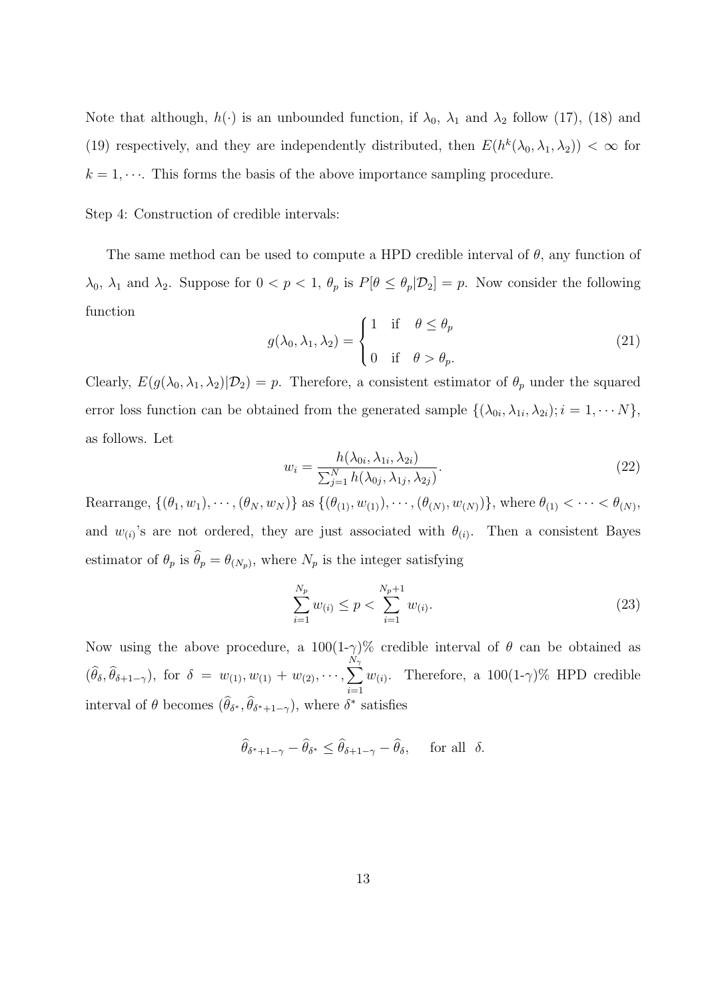Note that although,  $h(\cdot)$  is an unbounded function, if  $\lambda_0$ ,  $\lambda_1$  and  $\lambda_2$  follow (17), (18) and (19) respectively, and they are independently distributed, then  $E(h^k(\lambda_0, \lambda_1, \lambda_2)) < \infty$  for  $k = 1, \dots$ . This forms the basis of the above importance sampling procedure.

Step 4: Construction of credible intervals:

The same method can be used to compute a HPD credible interval of  $\theta$ , any function of  $\lambda_0$ ,  $\lambda_1$  and  $\lambda_2$ . Suppose for  $0 < p < 1$ ,  $\theta_p$  is  $P[\theta \le \theta_p | \mathcal{D}_2] = p$ . Now consider the following function

$$
g(\lambda_0, \lambda_1, \lambda_2) = \begin{cases} 1 & \text{if } \theta \le \theta_p \\ 0 & \text{if } \theta > \theta_p. \end{cases}
$$
 (21)

Clearly,  $E(g(\lambda_0, \lambda_1, \lambda_2)|\mathcal{D}_2) = p$ . Therefore, a consistent estimator of  $\theta_p$  under the squared error loss function can be obtained from the generated sample  $\{(\lambda_{0i}, \lambda_{1i}, \lambda_{2i}); i = 1, \cdots N\},\$ as follows. Let

$$
w_i = \frac{h(\lambda_{0i}, \lambda_{1i}, \lambda_{2i})}{\sum_{j=1}^N h(\lambda_{0j}, \lambda_{1j}, \lambda_{2j})}.
$$
\n(22)

Rearrange,  $\{(\theta_1, w_1), \cdots, (\theta_N, w_N)\}\$ as  $\{(\theta_{(1)}, w_{(1)}), \cdots, (\theta_{(N)}, w_{(N)})\}\$ , where  $\theta_{(1)} < \cdots < \theta_{(N)}$ , and  $w_{(i)}$ 's are not ordered, they are just associated with  $\theta_{(i)}$ . Then a consistent Bayes estimator of  $\theta_p$  is  $\theta_p = \theta_{(N_p)}$ , where  $N_p$  is the integer satisfying

$$
\sum_{i=1}^{N_p} w_{(i)} \le p < \sum_{i=1}^{N_p+1} w_{(i)}.\tag{23}
$$

Now using the above procedure, a  $100(1-\gamma)\%$  credible interval of  $\theta$  can be obtained as  $(\widehat{\theta}_{\delta}, \widehat{\theta}_{\delta+1-\gamma}), \text{ for } \delta = w_{(1)}, w_{(1)} + w_{(2)}, \cdots, \sum$  $N_\gamma$  $\frac{i=1}{i}$  $w_{(i)}$ . Therefore, a 100(1- $\gamma$ )% HPD credible interval of  $\theta$  becomes  $(\widehat{\theta}_{\delta^*}, \widehat{\theta}_{\delta^*+1-\gamma})$ , where  $\delta^*$  satisfies

$$
\widehat{\theta}_{\delta^*+1-\gamma}-\widehat{\theta}_{\delta^*}\leq \widehat{\theta}_{\delta+1-\gamma}-\widehat{\theta}_{\delta},\quad \text{ for all }\ \delta.
$$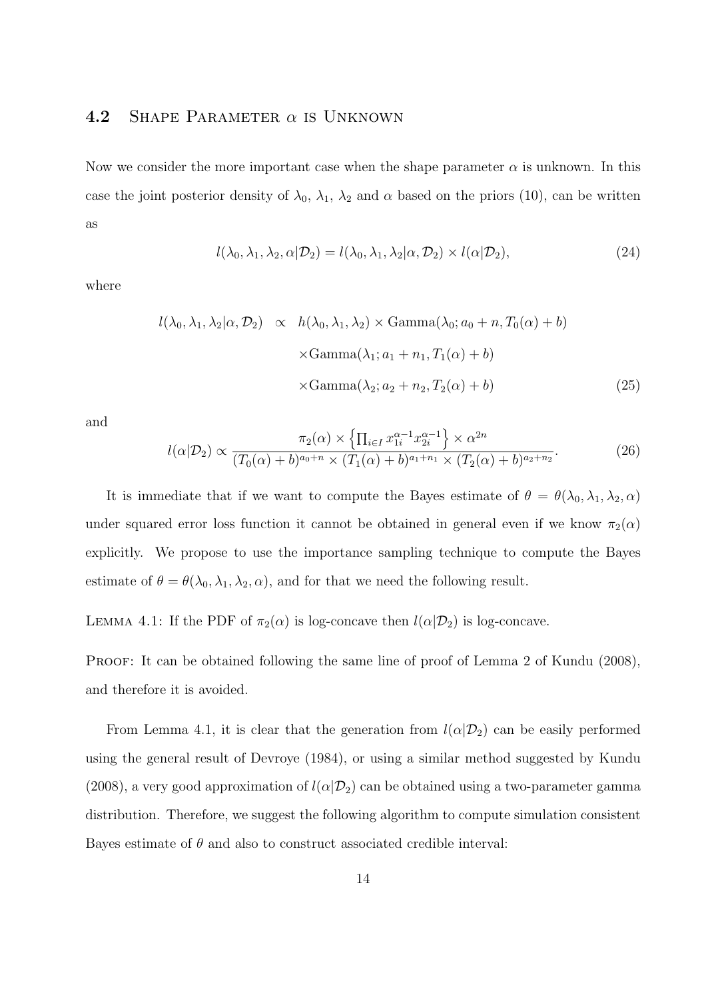### 4.2 SHAPE PARAMETER  $\alpha$  is UNKNOWN

Now we consider the more important case when the shape parameter  $\alpha$  is unknown. In this case the joint posterior density of  $\lambda_0$ ,  $\lambda_1$ ,  $\lambda_2$  and  $\alpha$  based on the priors (10), can be written as

$$
l(\lambda_0, \lambda_1, \lambda_2, \alpha | \mathcal{D}_2) = l(\lambda_0, \lambda_1, \lambda_2 | \alpha, \mathcal{D}_2) \times l(\alpha | \mathcal{D}_2),
$$
\n(24)

where

$$
l(\lambda_0, \lambda_1, \lambda_2 | \alpha, \mathcal{D}_2) \propto h(\lambda_0, \lambda_1, \lambda_2) \times \text{Gamma}(\lambda_0; a_0 + n, T_0(\alpha) + b)
$$
  
 
$$
\times \text{Gamma}(\lambda_1; a_1 + n_1, T_1(\alpha) + b)
$$
  
 
$$
\times \text{Gamma}(\lambda_2; a_2 + n_2, T_2(\alpha) + b)
$$
 (25)

and

$$
l(\alpha|\mathcal{D}_2) \propto \frac{\pi_2(\alpha) \times \left\{ \prod_{i \in I} x_{1i}^{\alpha-1} x_{2i}^{\alpha-1} \right\} \times \alpha^{2n}}{(T_0(\alpha) + b)^{a_0+n} \times (T_1(\alpha) + b)^{a_1+n_1} \times (T_2(\alpha) + b)^{a_2+n_2}}.
$$
(26)

It is immediate that if we want to compute the Bayes estimate of  $\theta = \theta(\lambda_0, \lambda_1, \lambda_2, \alpha)$ under squared error loss function it cannot be obtained in general even if we know  $\pi_2(\alpha)$ explicitly. We propose to use the importance sampling technique to compute the Bayes estimate of  $\theta = \theta(\lambda_0, \lambda_1, \lambda_2, \alpha)$ , and for that we need the following result.

LEMMA 4.1: If the PDF of  $\pi_2(\alpha)$  is log-concave then  $l(\alpha|\mathcal{D}_2)$  is log-concave.

PROOF: It can be obtained following the same line of proof of Lemma 2 of Kundu (2008), and therefore it is avoided.

From Lemma 4.1, it is clear that the generation from  $l(\alpha|\mathcal{D}_2)$  can be easily performed using the general result of Devroye (1984), or using a similar method suggested by Kundu (2008), a very good approximation of  $l(\alpha|\mathcal{D}_2)$  can be obtained using a two-parameter gamma distribution. Therefore, we suggest the following algorithm to compute simulation consistent Bayes estimate of  $\theta$  and also to construct associated credible interval: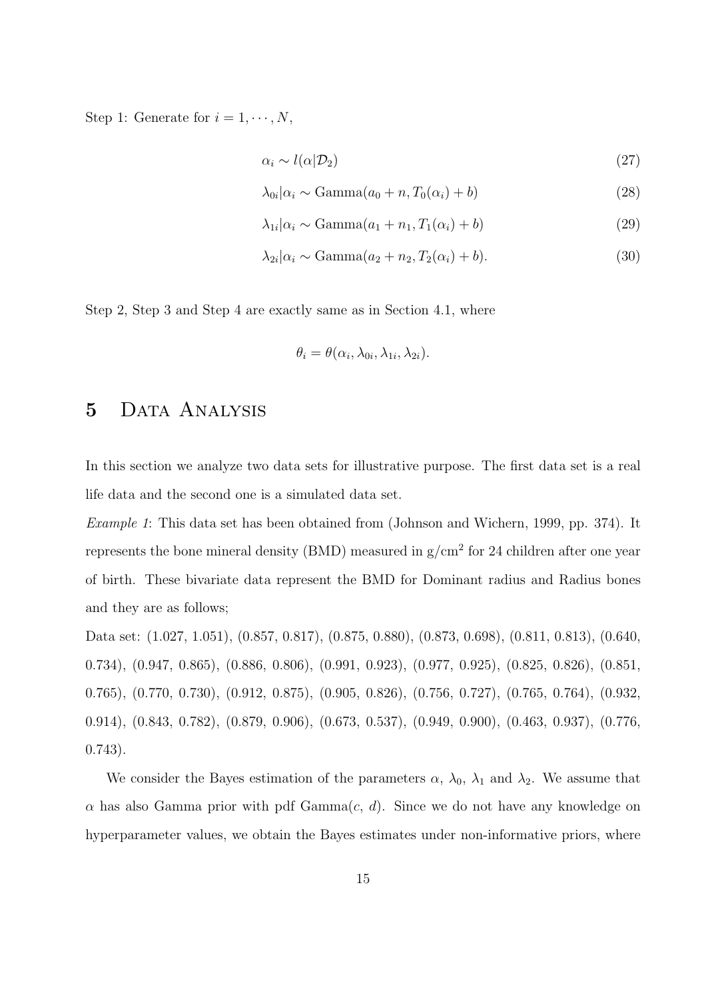Step 1: Generate for  $i = 1, \dots, N$ ,

$$
\alpha_i \sim l(\alpha | \mathcal{D}_2) \tag{27}
$$

$$
\lambda_{0i}|\alpha_i \sim \text{Gamma}(a_0 + n, T_0(\alpha_i) + b) \tag{28}
$$

$$
\lambda_{1i}|\alpha_i \sim \text{Gamma}(a_1 + n_1, T_1(\alpha_i) + b) \tag{29}
$$

$$
\lambda_{2i}|\alpha_i \sim \text{Gamma}(a_2 + n_2, T_2(\alpha_i) + b). \tag{30}
$$

Step 2, Step 3 and Step 4 are exactly same as in Section 4.1, where

$$
\theta_i = \theta(\alpha_i, \lambda_{0i}, \lambda_{1i}, \lambda_{2i}).
$$

### 5 DATA ANALYSIS

In this section we analyze two data sets for illustrative purpose. The first data set is a real life data and the second one is a simulated data set.

Example 1: This data set has been obtained from (Johnson and Wichern, 1999, pp. 374). It represents the bone mineral density (BMD) measured in  $g/cm^2$  for 24 children after one year of birth. These bivariate data represent the BMD for Dominant radius and Radius bones and they are as follows;

Data set: (1.027, 1.051), (0.857, 0.817), (0.875, 0.880), (0.873, 0.698), (0.811, 0.813), (0.640, 0.734), (0.947, 0.865), (0.886, 0.806), (0.991, 0.923), (0.977, 0.925), (0.825, 0.826), (0.851, 0.765), (0.770, 0.730), (0.912, 0.875), (0.905, 0.826), (0.756, 0.727), (0.765, 0.764), (0.932, 0.914), (0.843, 0.782), (0.879, 0.906), (0.673, 0.537), (0.949, 0.900), (0.463, 0.937), (0.776, 0.743).

We consider the Bayes estimation of the parameters  $\alpha$ ,  $\lambda_0$ ,  $\lambda_1$  and  $\lambda_2$ . We assume that  $\alpha$  has also Gamma prior with pdf Gamma $(c, d)$ . Since we do not have any knowledge on hyperparameter values, we obtain the Bayes estimates under non-informative priors, where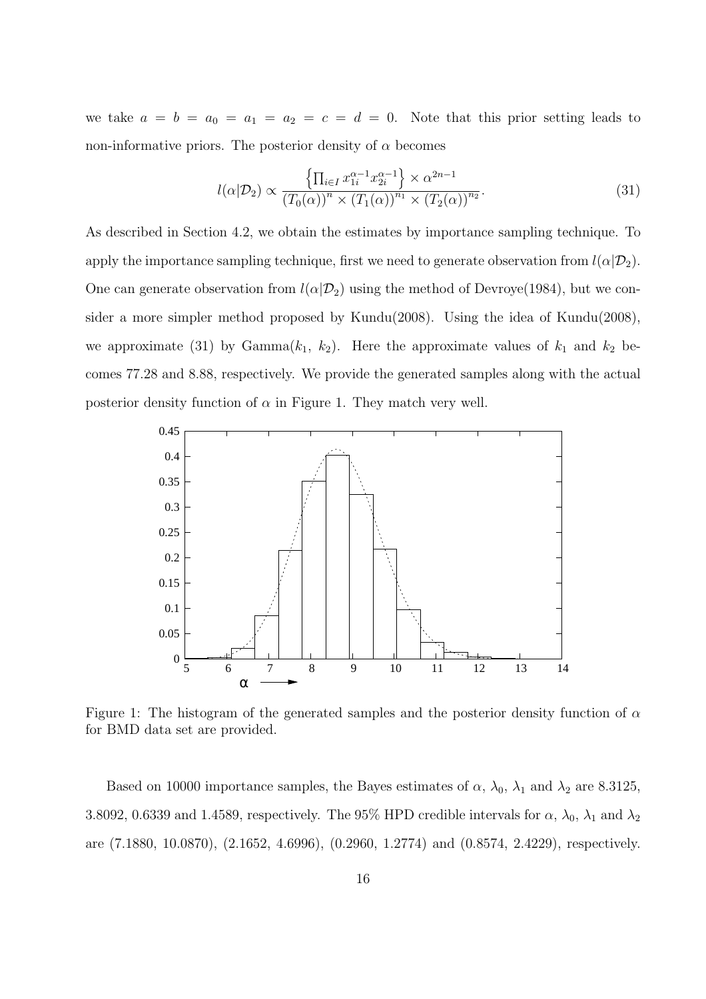we take  $a = b = a_0 = a_1 = a_2 = c = d = 0$ . Note that this prior setting leads to non-informative priors. The posterior density of  $\alpha$  becomes

$$
l(\alpha|\mathcal{D}_2) \propto \frac{\left\{\prod_{i \in I} x_{1i}^{\alpha - 1} x_{2i}^{\alpha - 1}\right\} \times \alpha^{2n - 1}}{\left(T_0(\alpha)\right)^n \times \left(T_1(\alpha)\right)^{n_1} \times \left(T_2(\alpha)\right)^{n_2}}.
$$
\n(31)

As described in Section 4.2, we obtain the estimates by importance sampling technique. To apply the importance sampling technique, first we need to generate observation from  $l(\alpha|\mathcal{D}_2)$ . One can generate observation from  $l(\alpha|\mathcal{D}_2)$  using the method of Devroye(1984), but we consider a more simpler method proposed by Kundu(2008). Using the idea of Kundu(2008), we approximate (31) by Gamma $(k_1, k_2)$ . Here the approximate values of  $k_1$  and  $k_2$  becomes 77.28 and 8.88, respectively. We provide the generated samples along with the actual posterior density function of  $\alpha$  in Figure 1. They match very well.



Figure 1: The histogram of the generated samples and the posterior density function of  $\alpha$ for BMD data set are provided.

Based on 10000 importance samples, the Bayes estimates of  $\alpha$ ,  $\lambda_0$ ,  $\lambda_1$  and  $\lambda_2$  are 8.3125, 3.8092, 0.6339 and 1.4589, respectively. The 95% HPD credible intervals for  $\alpha$ ,  $\lambda_0$ ,  $\lambda_1$  and  $\lambda_2$ are (7.1880, 10.0870), (2.1652, 4.6996), (0.2960, 1.2774) and (0.8574, 2.4229), respectively.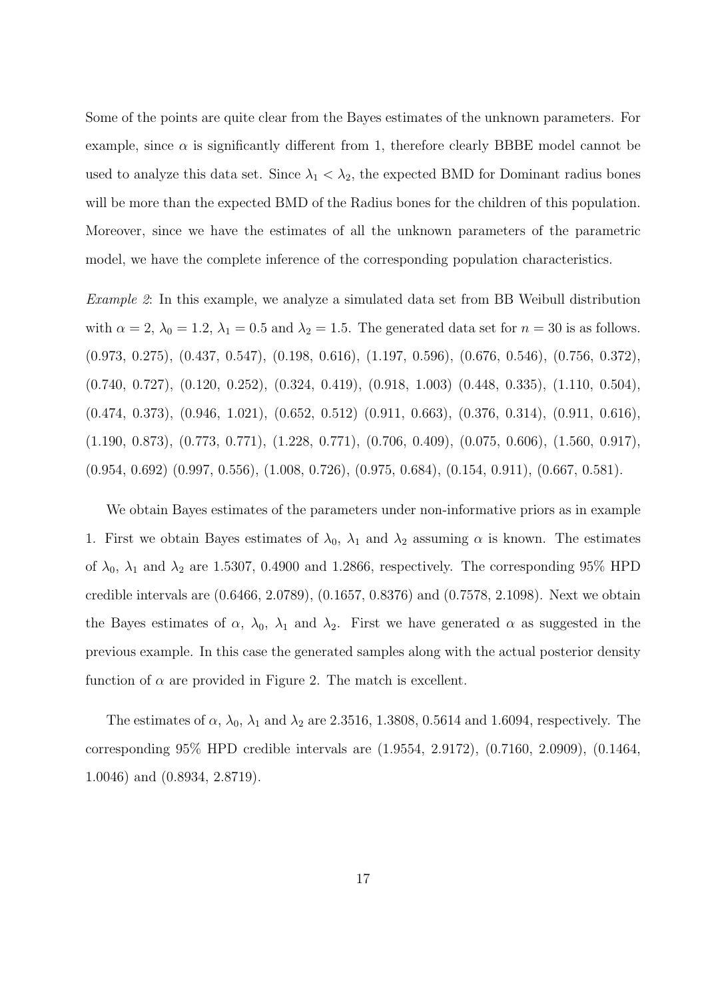Some of the points are quite clear from the Bayes estimates of the unknown parameters. For example, since  $\alpha$  is significantly different from 1, therefore clearly BBBE model cannot be used to analyze this data set. Since  $\lambda_1 < \lambda_2$ , the expected BMD for Dominant radius bones will be more than the expected BMD of the Radius bones for the children of this population. Moreover, since we have the estimates of all the unknown parameters of the parametric model, we have the complete inference of the corresponding population characteristics.

Example 2: In this example, we analyze a simulated data set from BB Weibull distribution with  $\alpha = 2$ ,  $\lambda_0 = 1.2$ ,  $\lambda_1 = 0.5$  and  $\lambda_2 = 1.5$ . The generated data set for  $n = 30$  is as follows. (0.973, 0.275), (0.437, 0.547), (0.198, 0.616), (1.197, 0.596), (0.676, 0.546), (0.756, 0.372), (0.740, 0.727), (0.120, 0.252), (0.324, 0.419), (0.918, 1.003) (0.448, 0.335), (1.110, 0.504), (0.474, 0.373), (0.946, 1.021), (0.652, 0.512) (0.911, 0.663), (0.376, 0.314), (0.911, 0.616), (1.190, 0.873), (0.773, 0.771), (1.228, 0.771), (0.706, 0.409), (0.075, 0.606), (1.560, 0.917), (0.954, 0.692) (0.997, 0.556), (1.008, 0.726), (0.975, 0.684), (0.154, 0.911), (0.667, 0.581).

We obtain Bayes estimates of the parameters under non-informative priors as in example 1. First we obtain Bayes estimates of  $\lambda_0$ ,  $\lambda_1$  and  $\lambda_2$  assuming  $\alpha$  is known. The estimates of  $\lambda_0$ ,  $\lambda_1$  and  $\lambda_2$  are 1.5307, 0.4900 and 1.2866, respectively. The corresponding 95% HPD credible intervals are (0.6466, 2.0789), (0.1657, 0.8376) and (0.7578, 2.1098). Next we obtain the Bayes estimates of  $\alpha$ ,  $\lambda_0$ ,  $\lambda_1$  and  $\lambda_2$ . First we have generated  $\alpha$  as suggested in the previous example. In this case the generated samples along with the actual posterior density function of  $\alpha$  are provided in Figure 2. The match is excellent.

The estimates of  $\alpha$ ,  $\lambda_0$ ,  $\lambda_1$  and  $\lambda_2$  are 2.3516, 1.3808, 0.5614 and 1.6094, respectively. The corresponding 95% HPD credible intervals are (1.9554, 2.9172), (0.7160, 2.0909), (0.1464, 1.0046) and (0.8934, 2.8719).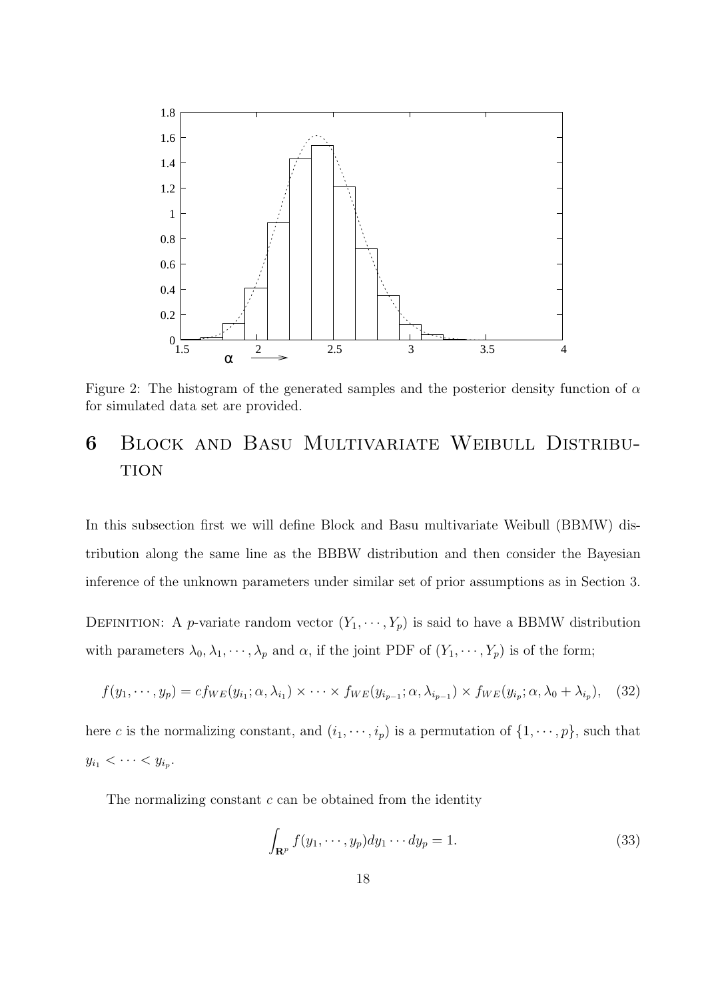

Figure 2: The histogram of the generated samples and the posterior density function of  $\alpha$ for simulated data set are provided.

# 6 Block and Basu Multivariate Weibull Distribu-**TION**

In this subsection first we will define Block and Basu multivariate Weibull (BBMW) distribution along the same line as the BBBW distribution and then consider the Bayesian inference of the unknown parameters under similar set of prior assumptions as in Section 3.

DEFINITION: A *p*-variate random vector  $(Y_1, \dots, Y_p)$  is said to have a BBMW distribution with parameters  $\lambda_0, \lambda_1, \dots, \lambda_p$  and  $\alpha$ , if the joint PDF of  $(Y_1, \dots, Y_p)$  is of the form;

$$
f(y_1,\dots,y_p)=cf_{WE}(y_{i_1};\alpha,\lambda_{i_1})\times\dots\times f_{WE}(y_{i_{p-1}};\alpha,\lambda_{i_{p-1}})\times f_{WE}(y_{i_p};\alpha,\lambda_0+\lambda_{i_p}),\quad(32)
$$

here c is the normalizing constant, and  $(i_1, \dots, i_p)$  is a permutation of  $\{1, \dots, p\}$ , such that  $y_{i_1} < \cdots < y_{i_p}$ .

The normalizing constant  $c$  can be obtained from the identity

$$
\int_{\mathbf{R}^p} f(y_1, \cdots, y_p) dy_1 \cdots dy_p = 1.
$$
\n(33)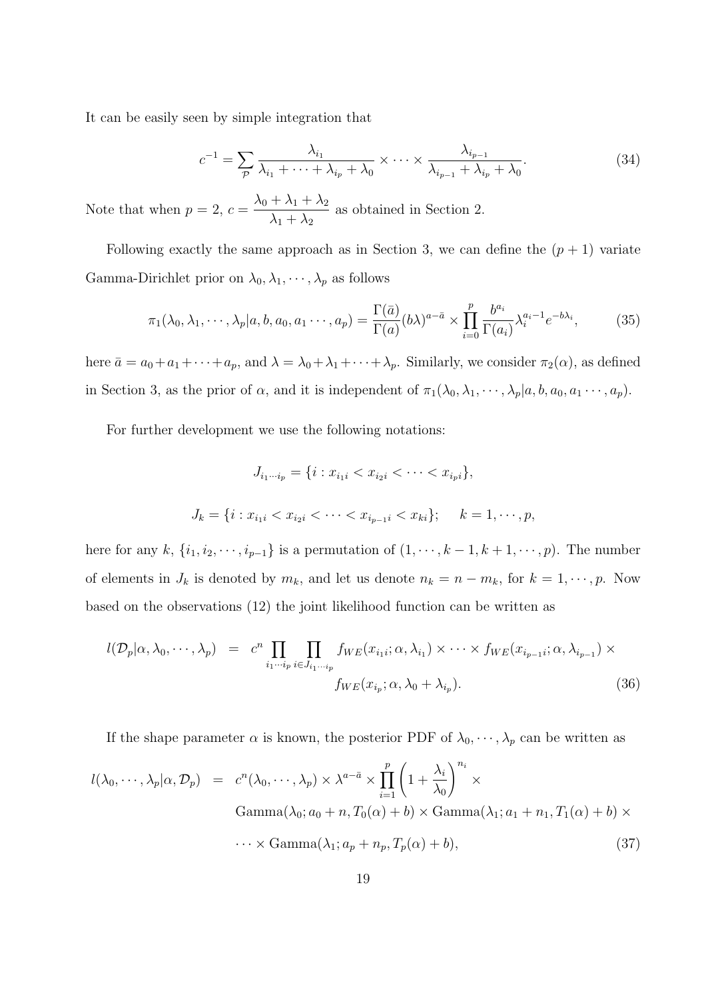It can be easily seen by simple integration that

$$
c^{-1} = \sum_{p} \frac{\lambda_{i_1}}{\lambda_{i_1} + \dots + \lambda_{i_p} + \lambda_0} \times \dots \times \frac{\lambda_{i_{p-1}}}{\lambda_{i_{p-1}} + \lambda_{i_p} + \lambda_0}.
$$
 (34)

Note that when  $p = 2$ ,  $c = \frac{\lambda_0 + \lambda_1 + \lambda_2}{\lambda_0 + \lambda_1}$  $\lambda_1 + \lambda_2$ as obtained in Section 2.

Following exactly the same approach as in Section 3, we can define the  $(p + 1)$  variate Gamma-Dirichlet prior on  $\lambda_0, \lambda_1, \dots, \lambda_p$  as follows

$$
\pi_1(\lambda_0, \lambda_1, \cdots, \lambda_p | a, b, a_0, a_1 \cdots, a_p) = \frac{\Gamma(\bar{a})}{\Gamma(a)} (b\lambda)^{a - \bar{a}} \times \prod_{i=0}^p \frac{b^{a_i}}{\Gamma(a_i)} \lambda_i^{a_i - 1} e^{-b\lambda_i},
$$
(35)

here  $\bar{a} = a_0 + a_1 + \cdots + a_p$ , and  $\lambda = \lambda_0 + \lambda_1 + \cdots + \lambda_p$ . Similarly, we consider  $\pi_2(\alpha)$ , as defined in Section 3, as the prior of  $\alpha$ , and it is independent of  $\pi_1(\lambda_0, \lambda_1, \dots, \lambda_p | a, b, a_0, a_1 \dots, a_p)$ .

For further development we use the following notations:

$$
J_{i_1\cdots i_p} = \{i : x_{i_1i} < x_{i_2i} < \cdots < x_{i_pi}\},
$$
\n
$$
J_k = \{i : x_{i_1i} < x_{i_2i} < \cdots < x_{i_{p-1}i} < x_{ki}\}; \quad k = 1, \cdots, p,
$$

here for any k,  $\{i_1, i_2, \dots, i_{p-1}\}$  is a permutation of  $(1, \dots, k-1, k+1, \dots, p)$ . The number of elements in  $J_k$  is denoted by  $m_k$ , and let us denote  $n_k = n - m_k$ , for  $k = 1, \dots, p$ . Now based on the observations (12) the joint likelihood function can be written as

$$
l(\mathcal{D}_p|\alpha,\lambda_0,\cdots,\lambda_p) = c^n \prod_{i_1\cdots i_p} \prod_{i \in J_{i_1\cdots i_p}} f_{WE}(x_{i_1i};\alpha,\lambda_{i_1}) \times \cdots \times f_{WE}(x_{i_{p-1}i};\alpha,\lambda_{i_{p-1}}) \times f_{WE}(x_{i_p};\alpha,\lambda_0+\lambda_{i_p}).
$$
\n(36)

If the shape parameter  $\alpha$  is known, the posterior PDF of  $\lambda_0, \dots, \lambda_p$  can be written as

$$
l(\lambda_0, \cdots, \lambda_p | \alpha, \mathcal{D}_p) = c^n(\lambda_0, \cdots, \lambda_p) \times \lambda^{a - \bar{a}} \times \prod_{i=1}^p \left(1 + \frac{\lambda_i}{\lambda_0}\right)^{n_i} \times \text{Gamma}(\lambda_0; a_0 + n, T_0(\alpha) + b) \times \text{Gamma}(\lambda_1; a_1 + n_1, T_1(\alpha) + b) \times \dots \times \text{Gamma}(\lambda_1; a_p + n_p, T_p(\alpha) + b), \tag{37}
$$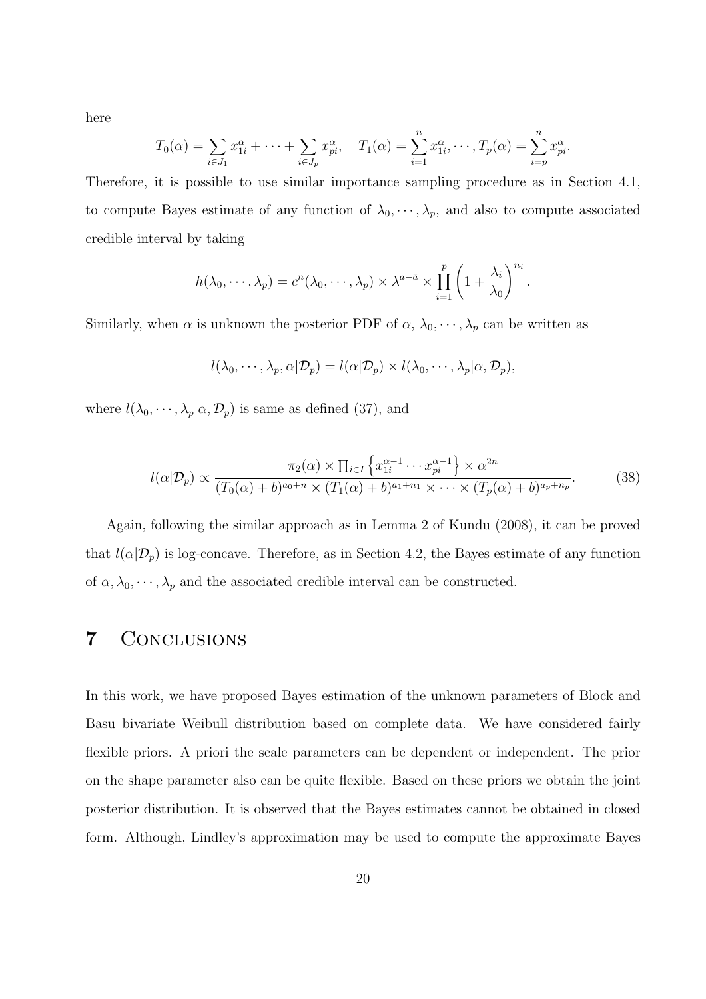here

$$
T_0(\alpha) = \sum_{i \in J_1} x_{1i}^{\alpha} + \cdots + \sum_{i \in J_p} x_{pi}^{\alpha}, \quad T_1(\alpha) = \sum_{i=1}^n x_{1i}^{\alpha}, \cdots, T_p(\alpha) = \sum_{i=p}^n x_{pi}^{\alpha}.
$$

Therefore, it is possible to use similar importance sampling procedure as in Section 4.1, to compute Bayes estimate of any function of  $\lambda_0, \dots, \lambda_p$ , and also to compute associated credible interval by taking

$$
h(\lambda_0,\dots,\lambda_p)=c^n(\lambda_0,\dots,\lambda_p)\times\lambda^{a-\bar{a}}\times\prod_{i=1}^p\left(1+\frac{\lambda_i}{\lambda_0}\right)^{n_i}.
$$

Similarly, when  $\alpha$  is unknown the posterior PDF of  $\alpha$ ,  $\lambda_0$ ,  $\dots$ ,  $\lambda_p$  can be written as

$$
l(\lambda_0, \cdots, \lambda_p, \alpha | \mathcal{D}_p) = l(\alpha | \mathcal{D}_p) \times l(\lambda_0, \cdots, \lambda_p | \alpha, \mathcal{D}_p),
$$

where  $l(\lambda_0, \dots, \lambda_p | \alpha, \mathcal{D}_p)$  is same as defined (37), and

$$
l(\alpha|\mathcal{D}_p) \propto \frac{\pi_2(\alpha) \times \prod_{i \in I} \left\{ x_{1i}^{\alpha-1} \cdots x_{pi}^{\alpha-1} \right\} \times \alpha^{2n}}{(T_0(\alpha) + b)^{a_0+n} \times (T_1(\alpha) + b)^{a_1+n_1} \times \cdots \times (T_p(\alpha) + b)^{a_p+n_p}}.
$$
 (38)

Again, following the similar approach as in Lemma 2 of Kundu (2008), it can be proved that  $l(\alpha|\mathcal{D}_p)$  is log-concave. Therefore, as in Section 4.2, the Bayes estimate of any function of  $\alpha, \lambda_0, \dots, \lambda_p$  and the associated credible interval can be constructed.

## 7 Conclusions

In this work, we have proposed Bayes estimation of the unknown parameters of Block and Basu bivariate Weibull distribution based on complete data. We have considered fairly flexible priors. A priori the scale parameters can be dependent or independent. The prior on the shape parameter also can be quite flexible. Based on these priors we obtain the joint posterior distribution. It is observed that the Bayes estimates cannot be obtained in closed form. Although, Lindley's approximation may be used to compute the approximate Bayes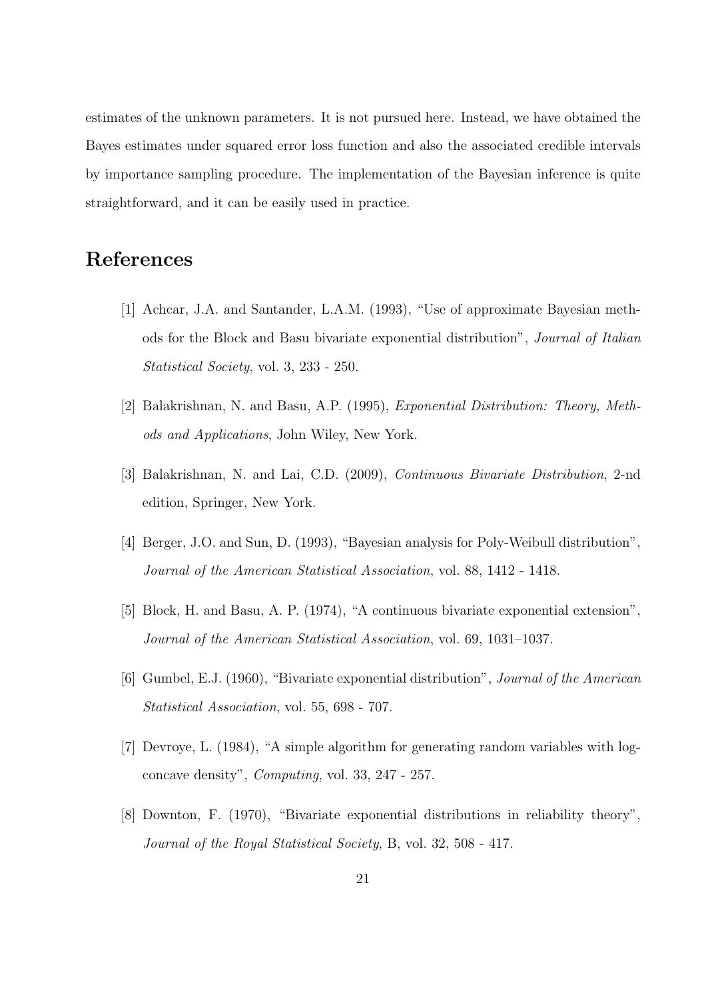estimates of the unknown parameters. It is not pursued here. Instead, we have obtained the Bayes estimates under squared error loss function and also the associated credible intervals by importance sampling procedure. The implementation of the Bayesian inference is quite straightforward, and it can be easily used in practice.

# References

- [1] Achcar, J.A. and Santander, L.A.M. (1993), "Use of approximate Bayesian methods for the Block and Basu bivariate exponential distribution", Journal of Italian Statistical Society, vol. 3, 233 - 250.
- [2] Balakrishnan, N. and Basu, A.P. (1995), Exponential Distribution: Theory, Methods and Applications, John Wiley, New York.
- [3] Balakrishnan, N. and Lai, C.D. (2009), Continuous Bivariate Distribution, 2-nd edition, Springer, New York.
- [4] Berger, J.O. and Sun, D. (1993), "Bayesian analysis for Poly-Weibull distribution", Journal of the American Statistical Association, vol. 88, 1412 - 1418.
- [5] Block, H. and Basu, A. P. (1974), "A continuous bivariate exponential extension", Journal of the American Statistical Association, vol. 69, 1031–1037.
- [6] Gumbel, E.J. (1960), "Bivariate exponential distribution", Journal of the American Statistical Association, vol. 55, 698 - 707.
- [7] Devroye, L. (1984), "A simple algorithm for generating random variables with logconcave density", Computing, vol. 33, 247 - 257.
- [8] Downton, F. (1970), "Bivariate exponential distributions in reliability theory", Journal of the Royal Statistical Society, B, vol. 32, 508 - 417.